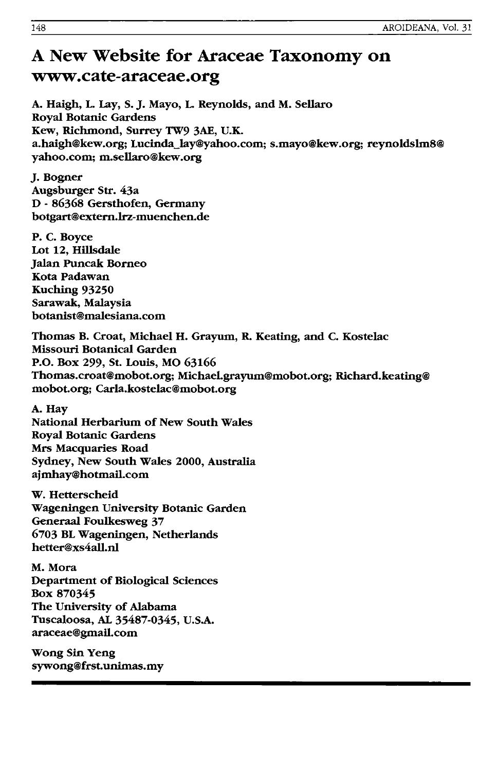# A New Website for Araceae Taxonomy on www.cate-araceae.org

A. Haigh, L. Lay, S. J. Mayo, L. Reynolds, and M. Sellaro Royal Botanic Gardens Kew, Richmond, Surrey 1W9 3AE, U.K. a.haigh@kew.org; Lucinda\_lay@yahoo.com; s.mayo@kew.org; reynoldslm8@ yahoo.com; m.sellaro@kew.org

J. Bogner Augsburger Str. 43a D - 86368 Gersthofen, Germany botgart@extern.lrz-muenchen.de

P. C. Boyce Lot 12, Hillsdale Jalan Puncak Borneo Kota Padawan Kuching 93250 Sarawak, Malaysia botanist@ma1esiana.com

Thomas B. Croat, Michael H. Grayum, R. Keating, and C. Kostelac Missouri Botanical Garden P.O. Box 299, St. Louis, MO 63166 Thomas.croat@mobot.org; MichaeLgrayum@mobot.org; Richard.keating@ mobot.org; Car1a.kostelac@mobot.org

A. Hay

National Herbarium of New South Wales Royal Botanic Gardens Mrs Macquaries Road Sydney, New South Wales 2000, Australia ajmhay@hotmaiLcom

W. Hetterscheid Wageningen University Botanic Garden Generaa1 Foulkesweg 37 6703 BL Wageningen, Netherlands hetter@xs4all.nl

M.Mora Department of Biological Sciences Box 870345 The University of Alabama Tuscaloosa, AL 35487-0345, U.S.A. araceae@gmail.com

Wong Sin Yeng sywong@frst.unimas.my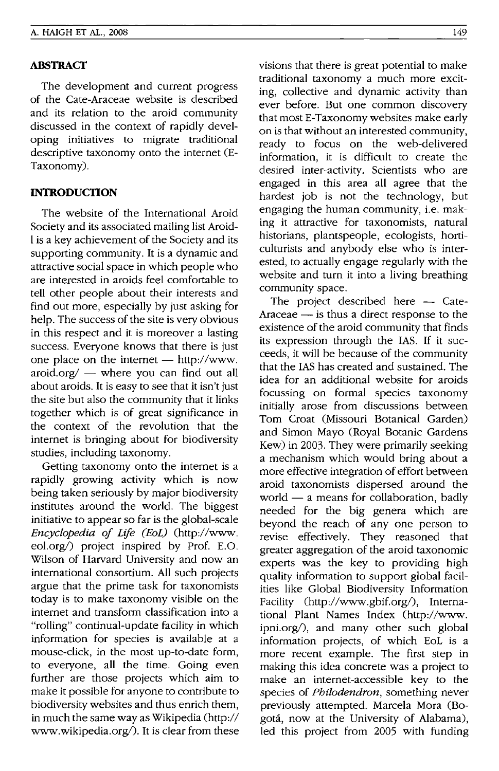## **ABSTRACT**

The development and current progress of the Cate-Araceae website is described and its relation to the aroid community discussed in the context of rapidly developing initiatives to migrate traditional descriptive taxonomy onto the internet (E-Taxonomy).

## **INTRODUCTION**

The website of the International Aroid Society and its associated mailing list Aroid-I is a key achievement of the Society and its supporting community. It is a dynamic and attractive social space in which people who are interested in aroids feel comfortable to tell other people about their interests and find out more, especially by just asking for help. The success of the site is very obvious in this respect and it is moreover a lasting success. Everyone knows that there is just one place on the internet  $-$  http://www. aroid.org/ $-$  where you can find out all about aroids. It is easy to see that it isn't just the site but also the community that it links together which is of great significance in the context of the revolution that the internet is bringing about for biodiversity studies, including taxonomy.

Getting taxonomy onto the internet is a rapidly growing activity which is now being taken seriously by major biodiversity institutes around the world. The biggest initiative to appear so far is the global-scale *Encyclopedia of Life (EoL)* (http://www. eol.org/) project inspired by Prof. E.O. Wilson of Harvard University and now an international consortium. All such projects argue that the prime task for taxonomists today is to make taxonomy visible on the internet and transform classification into a "rolling" continual-update facility in which information for species is available at a mouse-click, in the most up-to-date form, to everyone, all the time. Going even further are those projects which aim to make it possible for anyone to contribute to biodiversity websites and thus enrich them, in much the same way as Wikipedia (http:// www.wikipedia.org/). It is clear from these

visions that there is great potential to make traditional taxonomy a much more exciting, collective and dynamic activity than ever before. But one common discovery that most E-Taxonomy websites make early on is that without an interested community, ready to focus on the web-delivered information, it is difficult to create the desired inter-activity. Scientists who are engaged in this area all agree that the hardest job is not the technology, but engaging the human community, *i.e.* making it attractive for taxonomists, natural historians, plantspeople, ecologists, horticulturists and anybody else who is interested, to actually engage regularly with the website and turn it into a living breathing community space.

The project described here  $-$  Cate-Araceae  $-$  is thus a direct response to the existence of the aroid community that finds its expression through the lAS. If it succeeds, it will be because of the community that the lAS has created and sustained. The idea for an additional website for aroids focussing on formal species taxonomy initially arose from discussions between Tom Croat (Missouri Botanical Garden) and Simon Mayo (Royal Botanic Gardens Kew) in 2003. They were primarily seeking a mechanism which would bring about a more effective integration of effort between aroid taxonomists dispersed around the world  $-$  a means for collaboration, badly needed for the big genera which are beyond the reach of any one person to revise effectively. They reasoned that greater aggregation of the aroid taxonomic experts was the key to providing high quality information to support global facilities like Global Biodiversity Information Facility (http://www.gbif.org/). International Plant Names Index (http://www. ipni.org $\ell$ ), and many other such global information projects, of which EoL is a more recent example. The first step in making this idea concrete was a project to make an internet-accessible key to the species of *Philodendron,* something never previously attempted. Marcela Mora (Bogota, now at the University of Alabama), led this project from 2005 with funding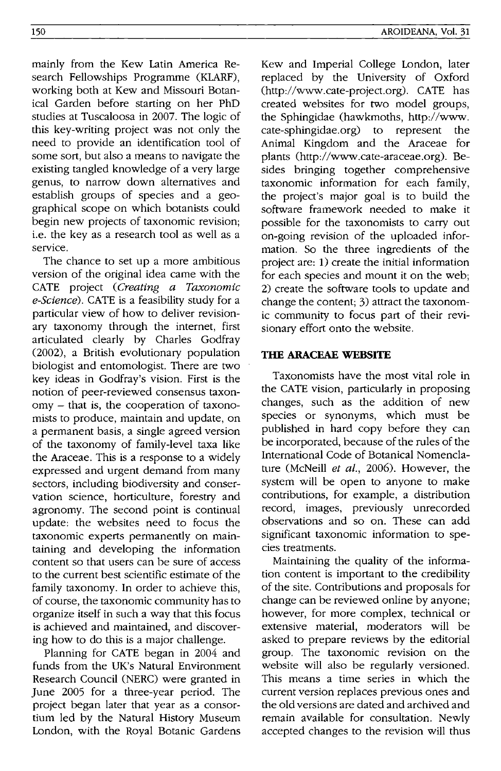mainly from the Kew Latin America Research Fellowships Programme (KLARF), working both at Kew and Missouri Botanical Garden before starting on her PhD studies at Tuscaloosa in 2007. The logic of this key-writing project was not only the need to provide an identification tool of some sort, but also a means to navigate the existing tangled knowledge of a very large genus, to narrow down alternatives and establish groups of species and a geo-

graphical scope on which botanists could begin new projects of taxonomic revision; i.e. the key as a research tool as well as a service. The chance to set up a more ambitious

version of the original idea came with the CATE project (Creating a Taxonomic e-Science). CATE is a feasibility study for a particular view of how to deliver revisionary taxonomy through the internet, first articulated clearly by Charles Godfray (2002), a British evolutionary population biologist and entomologist. There are two key ideas in Godfray's vision. First is the notion of peer-reviewed consensus taxonomy - that is, the cooperation of taxonomists to produce, maintain and update, on a permanent basis, a single agreed version of the taxonomy of family-level taxa like the Araceae. This is a response to a widely expressed and urgent demand from many sectors, including biodiversity and conservation science, horticulture, forestry and agronomy. The second point is continual update: the websites need to focus the taxonomic experts permanently on maintaining and developing the information content so that users can be sure of access to the current best scientific estimate of the family taxonomy. In order to achieve this, of course, the taxonomic community has to organize itself in such a way that this focus is achieved and maintained, and discovering how to do this is a major challenge.

Planning for CATE began in 2004 and funds from the UK's Natural Environment Research Council (NERC) were granted in June 2005 for a three-year period. The project began later that year as a consortium led by the Natural History Museum London, with the Royal Botanic Gardens

Kew and Imperial College London, later replaced by the University of Oxford (http://www.cate-project.org). CATE has created websites for two model groups, the Sphingidae (hawkmoths, http://www. cate-sphingidae.org) to represent the Animal Kingdom and the Araceae for plants (http://www.cate-araceae.org). Besides bringing together comprehensive taxonomic information for each family, the project's major goal is to build the software framework needed to make it possible for the taxonomists to carry out on-going revision of the uploaded information. So the three ingredients of the project are: 1) create the initial information for each species and mount it on the web; 2) create the software tools to update and change the content; 3) attract the taxonomic community to focus part of their revisionary effort onto the website.

## **THE ARACEAE WEBSITE**

Taxonomists have the most vital role in the CATE vision, particularly in proposing changes, such as the addition of new species or synonyms, which must be published in hard copy before they can be incorporated, because of the rules of the International Code of Botanical Nomenclature (McNeill et al., 2006). However, the system will be open to anyone to make contributions, for example, a distribution record, images, previously unrecorded observations and so on. These can add significant taxonomic information to species treatments.

Maintaining the quality of the information content is important to the credibility of the site. Contributions and proposals for change can be reviewed online by anyone; however, for more complex, technical or extensive material, moderators will be asked to prepare reviews by the editorial group. The taxonomic revision on the website will also be regularly versioned. This means a time series in which the current version replaces previous ones and the old versions are dated and archived and remain available for consultation. Newly accepted changes to the revision will thus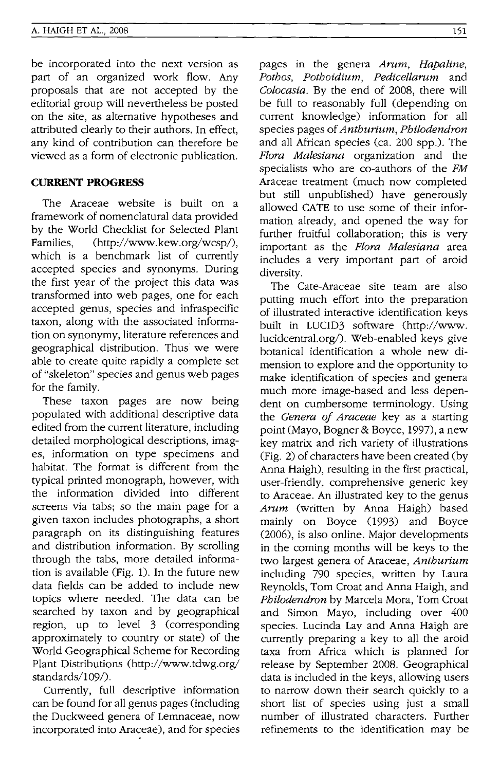be incorporated into the next version as part of an organized work flow. Any proposals that are not accepted by the editorial group will nevertheless be posted on the site, as alternative hypotheses and attributed clearly to their authors. In effect, any kind of contribution can therefore be viewed as a form of electronic publication.

### **CURRENT PROGRESS**

The Araceae website is built on a framework of nomenclatural data provided by the World Checklist for Selected Plant Families, (http://www.kew.org/wcsp/), which is a benchmark list of currently accepted species and synonyms. During the first year of the project this data was transformed into web pages, one for each accepted genus, species and infraspecific taxon, along with the associated information on synonymy, literature references and geographical distribution. Thus we were able to create quite rapidly a complete set of "skeleton" species and genus web pages for the family.

These taxon pages are now being populated with additional descriptive data edited from the current literature, including detailed morphological descriptions, images, information on type specimens and habitat. The format is different from the typical printed monograph, however, with the information divided into different screens via tabs; so the main page for a given taxon includes photographs, a short paragraph on its distinguishing features and distribution information. By scrolling through the tabs, more detailed information is available (Fig. 1). In the future new data fields can be added to include new topics where needed. The data can be searched by taxon and by geographical region, up to level 3 (corresponding approximately to country or state) of the World Geographical Scheme for Recording Plant Distributions (http://www.tdwg.org/ standards/109/).

Currently, full descriptive information can be found for all genus pages (including the Duckweed genera of Lemnaceae, now incorporated into Araceae), and for species pages in the genera *Amm, Hapaline, Pothos, Pothoidium, Pedicellamm* and *Colocasia.* By the end of 2008, there will be full to reasonably full (depending on current knowledge) information for all species pages of *Anthurium, Philodendron*  and all African species (ca. 200 spp.). The *Flora Malesiana* organization and the specialists who are co-authors of the *FM*  Araceae treatment (much now completed but still unpublished) have generously allowed CATE to use some of their information already, and opened the way for further fruitful collaboration; this is very important as the *Flora Malesiana* area includes a very important part of aroid diversity.

The Cate-Araceae site team are also putting much effort into the preparation of illustrated interactive identification keys built in LUCID3 software (http://www. lucidcentral.org/). Web-enabled keys give botanical identification a whole new dimension to explore and the opportunity to make identification of species and genera much more image-based and less dependent on cumbersome terminology. Using the *Genera of Araceae* key as a starting point (Mayo, Bogner & Boyce, 1997), a new key matrix and rich variety of illustrations (Fig. 2) of characters have been created (by Anna Haigh), resulting in the first practical, user-friendly, comprehensive generic key to Araceae. An illustrated key to the genus *Amm* (written by Anna Haigh) based mainly on Boyce (1993) and Boyce (2006), is also online. Major developments in the coming months will be keys to the two largest genera of Araceae, *Anthurium*  including 790 species, written by Laura Reynolds, Tom Croat and Anna Haigh, and *Philodendron* by Marcela Mora, Tom Croat and Simon Mayo, including over 400 species. Lucinda Lay and Anna Haigh are currently preparing a key to all the aroid taxa from Africa which is planned for release by September 2008. Geographical data is included in the keys, allowing users to narrow down their search quickly to a short list of species using just a small number of illustrated characters. Further refinements to the identification may be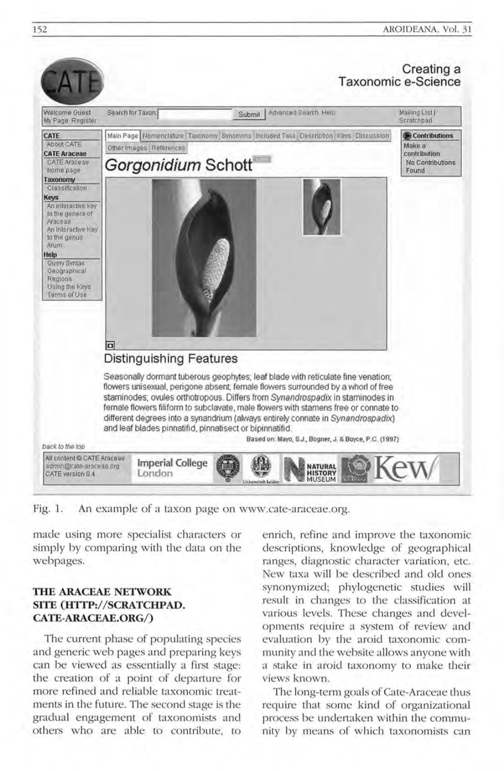

Fig. 1. An example of a taxon page on www.cate-araceae.org.

made using more specialist characters or simply by comparing with the data on the webpages.

## **THE ARACEAE NETWORK SITE (HTTP://SCRATCHPAD. CATE-ARACEAE.ORG/)**

The current phase of populating species and generic web pages and preparing keys can be viewed as essentially a first stage: the creation of a point of departure for more refined and reliable taxonomic treatments in the future. The second stage is the gradual engagement of taxonomists and others who are able to contribute, to

enrich, refine and improve the taxonomic descriptions, knowledge of geographical ranges, diagnostic character variation, etc. New taxa will be described and old ones synonymized; phylogenetic studies will result in changes to the classification at various levels. These changes and developments require a system of review and evaluation by the aroid taxonomic community and the website allows anyone with a stake in aroid taxonomy to make their views known.

The long-term goals of Cate-Araceae thus require that some kind of organizational process be undertaken within the community by means of which taxonomists can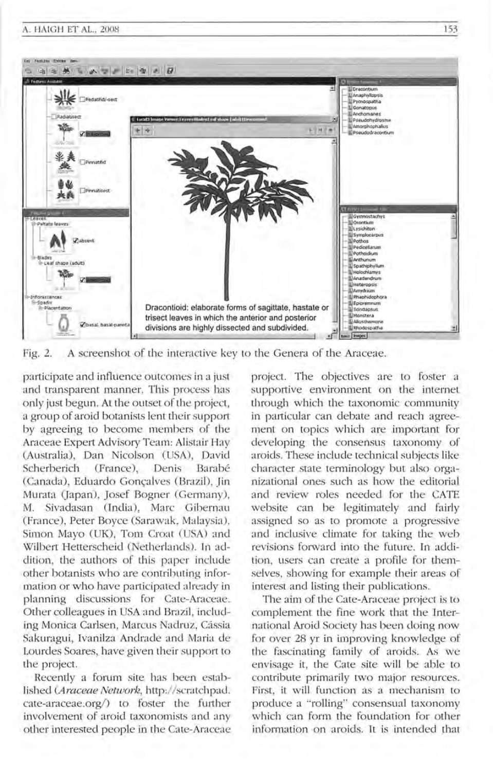

Fig. 2. A screenshot of the interactive key to the Genera of the Araceae.

pa rticipate and influence outcomes in a just and transparent manner. This process has only just begun. At the outset of the project, a group of aroid botanists lent their support by agreeing to become members of the Araceae Expert Advisory Team: Alistair Hay (Australia), Dan Nicolson (USA), David Scherberich (France), Denis Barabé (Canada), Eduardo Gonçalves (Brazil), Jin Murata (Japan), Josef Bogner (Germany), M. Sivadasan (India), Marc Gibernau (France), Peter Boyce (Sarawak, Malaysia), Simon Mayo (UK), Tom Croat (USA) and Wilbert Hetterscheid (Netherlands). In addition, the authors of this paper include other botanists who are contributing information or who have participated already in planning discussions for Cate-Araceae. Other colleagues in USA and Brazil , including Monica Carlsen, Marcus Nadruz, Cássia Sakuragui, Ivanilza Andrade and Maria de Lourdes Soares, have given their support to the project.

Recently a forum site has been established (Araceae Network, http://scratchpad. cate-araceae.org/) to foster the further involvement of aroid taxonomists and any other interested people in the Cate-Araceae project. The objectives are to foster a supportive environment on the internet through which the taxonomic community in particular can debate and reach agreement on topics which are important for developing the consensus taxonomy of aroids. These include technical subjects like character state terminology but also organizational ones such as how the editorial and review roles needed for the CATE website can be legitimately and fairly assigned so as to promote a progressive and inclusive climate for taking the web revisions forward into the future. In addition, users can create a profile for themselves, showing for example their areas of interest and listing their publications.

The aim of the Cate-Araceae project is to complement the fine work that the International Aroid Society has been doing now for over 28 yr in improving knowledge of the fascinating family of aroids. As we envisage it, the Cate site will be able to contribute primarily two major resources. First, it will function as a mechanism to produce a "rolling" consensual taxonomy which can form the foundation for other information on aroids. It is intended that